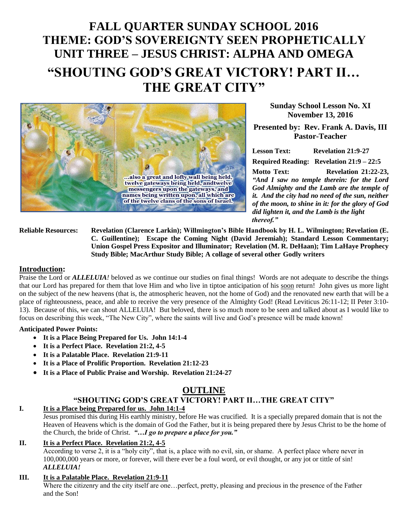# **FALL QUARTER SUNDAY SCHOOL 2016 THEME: GOD'S SOVEREIGNTY SEEN PROPHETICALLY UNIT THREE – JESUS CHRIST: ALPHA AND OMEGA "SHOUTING GOD'S GREAT VICTORY! PART II… THE GREAT CITY"**



**Sunday School Lesson No. XI November 13, 2016**

**Presented by: Rev. Frank A. Davis, III Pastor-Teacher**

**Lesson Text: Revelation 21:9-27 Required Reading: Revelation 21:9 – 22:5** 

**Motto Text: Revelation 21:22-23,** *"And I saw no temple therein: for the Lord God Almighty and the Lamb are the temple of it. And the city had no need of the sun, neither of the moon, to shine in it: for the glory of God did lighten it, and the Lamb is the light thereof."*

**Reliable Resources: Revelation (Clarence Larkin); Willmington's Bible Handbook by H. L. Wilmington; Revelation (E. C. Guillentine); Escape the Coming Night (David Jeremiah); Standard Lesson Commentary; Union Gospel Press Expositor and Illuminator; Revelation (M. R. DeHaan); Tim LaHaye Prophecy Study Bible; MacArthur Study Bible; A collage of several other Godly writers**

#### **Introduction:**

Praise the Lord or *ALLELUIA!* beloved as we continue our studies on final things! Words are not adequate to describe the things that our Lord has prepared for them that love Him and who live in tiptoe anticipation of his soon return! John gives us more light on the subject of the new heavens (that is, the atmospheric heaven, not the home of God) and the renovated new earth that will be a place of righteousness, peace, and able to receive the very presence of the Almighty God! (Read Leviticus 26:11-12; II Peter 3:10- 13). Because of this, we can shout ALLELUIA! But beloved, there is so much more to be seen and talked about as I would like to focus on describing this week, "The New City", where the saints will live and God's presence will be made known!

#### **Anticipated Power Points:**

- **It is a Place Being Prepared for Us. John 14:1-4**
- **It is a Perfect Place. Revelation 21:2, 4-5**
- **It is a Palatable Place. Revelation 21:9-11**
- **It is a Place of Prolific Proportion. Revelation 21:12-23**
- **It is a Place of Public Praise and Worship. Revelation 21:24-27**

# **OUTLINE**

# **"SHOUTING GOD'S GREAT VICTORY! PART II…THE GREAT CITY"**

#### **I. It is a Place being Prepared for us. John 14:1-4**

Jesus promised this during His earthly ministry, before He was crucified. It is a specially prepared domain that is not the Heaven of Heavens which is the domain of God the Father, but it is being prepared there by Jesus Christ to be the home of the Church, the bride of Christ. *"…I go to prepare a place for you."*

# **II. It is a Perfect Place. Revelation 21:2, 4-5**

According to verse 2, it is a "holy city", that is, a place with no evil, sin, or shame. A perfect place where never in 100,000,000 years or more, or forever, will there ever be a foul word, or evil thought, or any jot or tittle of sin! *ALLELUIA!*

# **III. It is a Palatable Place. Revelation 21:9-11**

Where the citizenry and the city itself are one…perfect, pretty, pleasing and precious in the presence of the Father and the Son!